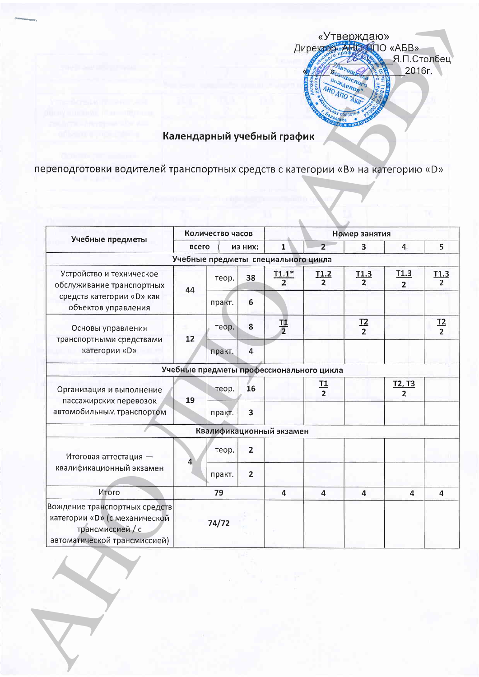

## Календарный учебный график

переподготовки водителей транспортных средств с категории «В» на категорию «D»

| Учебные предметы                                                                                                   | Количество часов |                  |                |                                          | Номер занятия    |                         |                                 |                  |
|--------------------------------------------------------------------------------------------------------------------|------------------|------------------|----------------|------------------------------------------|------------------|-------------------------|---------------------------------|------------------|
|                                                                                                                    |                  | всего<br>ИЗ НИХ: |                | $\mathbf{1}$                             | $\overline{2}$   | $\overline{\mathbf{3}}$ | $\overline{4}$                  | 5                |
|                                                                                                                    |                  |                  |                | Учебные предметы специального цикла      |                  |                         |                                 |                  |
| Устройство и техническое<br>обслуживание транспортных<br>средств категории «D» как<br>объектов управления          | 44               | теор.            | 38             | $T1.1*$<br>$\overline{2}$                | $\frac{T1.2}{2}$ | $\frac{T1.3}{2}$        | <u>T1.3</u><br>$\overline{2}$   | $\frac{T1.3}{2}$ |
|                                                                                                                    |                  | практ.           | $6\phantom{1}$ |                                          |                  |                         |                                 |                  |
| Основы управления                                                                                                  | 12               | теор.            | 8              | $\frac{11}{2}$                           |                  | $rac{12}{2}$            |                                 | $\frac{T2}{2}$   |
| транспортными средствами<br>категории «D»                                                                          |                  | практ.           | 4              |                                          |                  |                         |                                 |                  |
|                                                                                                                    |                  |                  |                | Учебные предметы профессионального цикла |                  |                         |                                 |                  |
| Организация и выполнение<br>пассажирских перевозок<br>автомобильным транспортом                                    | 19               | теор.            | 16             |                                          | $\frac{T1}{2}$   |                         | <u>T2, T3</u><br>$\overline{2}$ |                  |
|                                                                                                                    |                  | практ.           | 3              |                                          |                  |                         |                                 |                  |
|                                                                                                                    |                  |                  |                | Квалификационный экзамен                 |                  |                         |                                 |                  |
| Итоговая аттестация -<br>квалификационный экзамен                                                                  | 4                | теор.            | $\overline{2}$ |                                          |                  |                         |                                 |                  |
|                                                                                                                    |                  | практ.           | $\overline{2}$ |                                          |                  |                         |                                 |                  |
| Итого                                                                                                              |                  | 79               |                | $\overline{a}$                           | 4                | $\overline{a}$          | $\overline{4}$                  | 4                |
| Вождение транспортных средств<br>категории «D» (с механической<br>трансмиссией / с<br>автоматической трансмиссией) |                  | 74/72            |                |                                          |                  |                         |                                 |                  |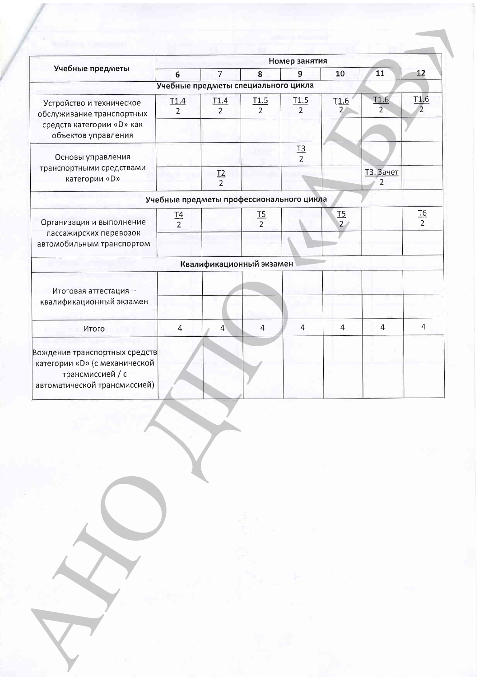| Учебные предметы                                                                                                   | Номер занятия    |                                          |                  |                  |                                    |                                    |                  |  |
|--------------------------------------------------------------------------------------------------------------------|------------------|------------------------------------------|------------------|------------------|------------------------------------|------------------------------------|------------------|--|
|                                                                                                                    | $6\overline{6}$  | $\overline{7}$                           | 8                | $\overline{9}$   | 10                                 | 11                                 | 12               |  |
|                                                                                                                    |                  | Учебные предметы специального цикла      |                  |                  |                                    |                                    |                  |  |
| Устройство и техническое<br>обслуживание транспортных<br>средств категории «D» как<br>объектов управления          | $\frac{11.4}{2}$ | $\frac{11.4}{2}$                         | $\frac{T1.5}{2}$ | $\frac{T1.5}{2}$ | T <sub>1.6</sub><br>$\overline{2}$ | $\frac{11.6}{2}$                   | $\frac{T1.6}{2}$ |  |
|                                                                                                                    |                  |                                          |                  |                  |                                    |                                    |                  |  |
| Основы управления<br>транспортными средствами<br>категории «D»                                                     |                  |                                          |                  | $\frac{T3}{2}$   |                                    |                                    |                  |  |
|                                                                                                                    |                  | $rac{12}{2}$                             |                  |                  |                                    | <b>ТЗ. Зачет</b><br>$\overline{2}$ |                  |  |
|                                                                                                                    |                  | Учебные предметы профессионального цикла |                  |                  |                                    |                                    |                  |  |
| Организация и выполнение<br>пассажирских перевозок                                                                 | $rac{14}{2}$     |                                          | $rac{15}{2}$     |                  | $\frac{TS}{2}$                     |                                    | $rac{T6}{2}$     |  |
| автомобильным транспортом                                                                                          |                  |                                          |                  |                  |                                    |                                    |                  |  |
|                                                                                                                    |                  | Квалификационный экзамен                 |                  |                  |                                    |                                    |                  |  |
| Итоговая аттестация -<br>квалификационный экзамен                                                                  |                  |                                          |                  |                  |                                    |                                    |                  |  |
|                                                                                                                    |                  |                                          |                  |                  |                                    |                                    |                  |  |
| Итого                                                                                                              | 4                | $\overline{4}$                           | 4                | $\overline{4}$   | 4                                  | $\overline{4}$                     | $\overline{4}$   |  |
| Вождение транспортных средств<br>категории «D» (с механической<br>трансмиссией / с<br>автоматической трансмиссией) |                  |                                          |                  |                  |                                    |                                    |                  |  |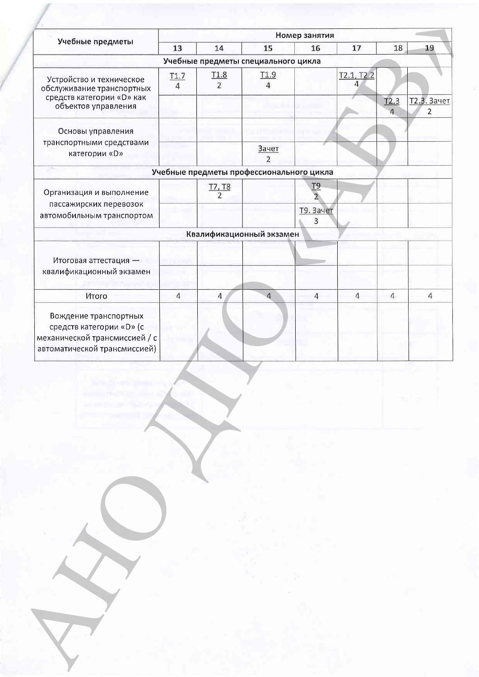|                                                                                                                    | Номер занятия          |                                              |                                          |                       |                 |                |                               |
|--------------------------------------------------------------------------------------------------------------------|------------------------|----------------------------------------------|------------------------------------------|-----------------------|-----------------|----------------|-------------------------------|
| Учебные предметы                                                                                                   | 13                     | 14                                           | 15                                       | 16                    | 17              | 18             | 19                            |
|                                                                                                                    |                        |                                              | Учебные предметы специального цикла      |                       |                 |                |                               |
| Устройство и техническое<br>обслуживание транспортных<br>средств категории «D» как<br>объектов управления          | T1.7<br>$\overline{4}$ | T <sub>1.8</sub><br>$\overline{\phantom{a}}$ | T <sub>1.9</sub>                         |                       | T2.1, T2.2<br>4 |                |                               |
|                                                                                                                    |                        |                                              |                                          |                       |                 | T2.3           | Т2.3. Зачет<br>$\overline{2}$ |
| Основы управления                                                                                                  |                        |                                              |                                          |                       |                 |                |                               |
| транспортными средствами<br>категории «D»                                                                          |                        |                                              | Зачет<br>$\overline{\phantom{a}}$        |                       |                 |                |                               |
|                                                                                                                    |                        |                                              | Учебные предметы профессионального цикла |                       |                 |                |                               |
| Организация и выполнение                                                                                           |                        | $\frac{17,18}{2}$                            |                                          | T9                    |                 |                |                               |
| пассажирских перевозок<br>автомобильным транспортом                                                                |                        |                                              |                                          | <b>Т9. Зачет</b><br>3 |                 |                |                               |
|                                                                                                                    |                        |                                              | Квалификационный экзамен                 |                       |                 |                |                               |
| Итоговая аттестация -                                                                                              |                        |                                              |                                          |                       |                 |                |                               |
| квалификационный экзамен                                                                                           |                        |                                              |                                          |                       |                 |                |                               |
| Итого                                                                                                              | $\overline{4}$         | $\overline{4}$                               | $\Delta$                                 | $\overline{4}$        | $\overline{4}$  | $\overline{4}$ | $\overline{4}$                |
| Вождение транспортных<br>средств категории «D» (с<br>механической трансмиссией / с<br>автоматической трансмиссией) |                        |                                              |                                          |                       |                 |                |                               |